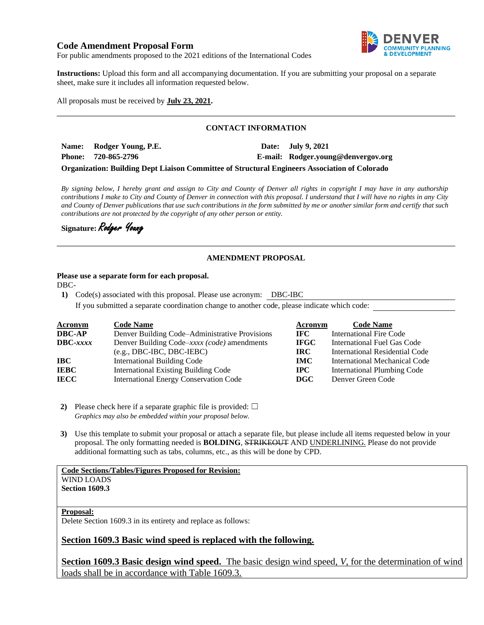# **Code Amendment Proposal Form**



For public amendments proposed to the 2021 editions of the International Codes

**Instructions:** Upload this form and all accompanying documentation. If you are submitting your proposal on a separate sheet, make sure it includes all information requested below.

All proposals must be received by **July 23, 2021.**

### **CONTACT INFORMATION**

**Name: Rodger Young, P.E. Date: July 9, 2021 Phone: 720-865-2796 E-mail: Rodger.young@denvergov.org**

**Organization: Building Dept Liaison Committee of Structural Engineers Association of Colorado**

*By signing below, I hereby grant and assign to City and County of Denver all rights in copyright I may have in any authorship contributions I make to City and County of Denver in connection with this proposal. I understand that I will have no rights in any City and County of Denver publications that use such contributions in the form submitted by me or another similar form and certify that such contributions are not protected by the copyright of any other person or entity.* 

**Signature:** Rodger Young

### **AMENDMENT PROPOSAL**

### **Please use a separate form for each proposal.**

DBC-

**1)** Code(s) associated with this proposal. Please use acronym: DBC-IBC

If you submitted a separate coordination change to another code, please indicate which code:

| <b>Acronym</b>    | <b>Code Name</b>                               | Acronym     | <b>Code Name</b>               |
|-------------------|------------------------------------------------|-------------|--------------------------------|
| <b>DBC-AP</b>     | Denver Building Code-Administrative Provisions | IFC -       | <b>International Fire Code</b> |
| $\text{DBC}-xxxx$ | Denver Building Code–xxxx (code) amendments    | <b>IFGC</b> | International Fuel Gas Code    |
|                   | $(e.g., DBC-IBC, DBC-IEBC)$                    | IRC-        | International Residential Code |
| IBC               | <b>International Building Code</b>             | <b>IMC</b>  | International Mechanical Code  |
| <b>IEBC</b>       | <b>International Existing Building Code</b>    | $\bf IPC$   | International Plumbing Code    |
| <b>IECC</b>       | <b>International Energy Conservation Code</b>  | DGC         | Denver Green Code              |

**2)** Please check here if a separate graphic file is provided:  $\Box$ *Graphics may also be embedded within your proposal below.*

**3)** Use this template to submit your proposal or attach a separate file, but please include all items requested below in your proposal. The only formatting needed is **BOLDING**, STRIKEOUT AND UNDERLINING. Please do not provide additional formatting such as tabs, columns, etc., as this will be done by CPD.

#### **Code Sections/Tables/Figures Proposed for Revision:** WIND LOADS **Section 1609.3**

**Proposal:**

Delete Section 1609.3 in its entirety and replace as follows:

# **Section 1609.3 Basic wind speed is replaced with the following.**

**Section 1609.3 Basic design wind speed.** The basic design wind speed, *V*, for the determination of wind loads shall be in accordance with Table 1609.3.